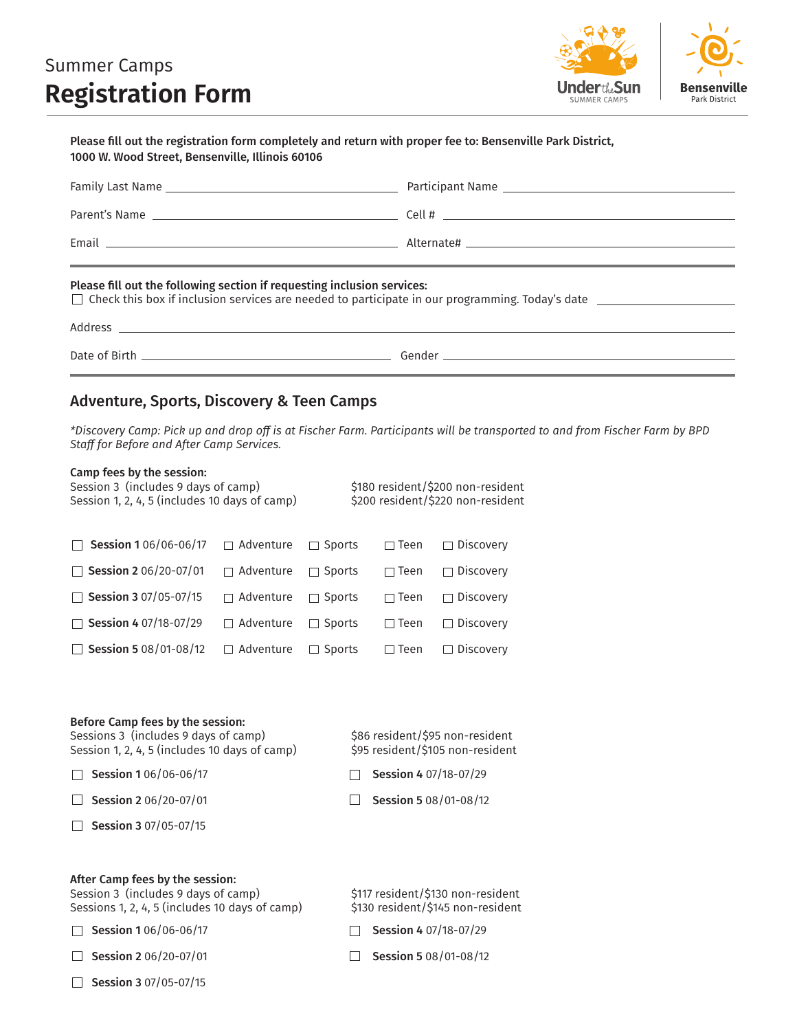# Summer Camps **Registration Form**



| Please fill out the registration form completely and return with proper fee to: Bensenville Park District,<br>1000 W. Wood Street, Bensenville, Illinois 60106                              |                                                                                                                                                                                                                                |  |  |  |  |
|---------------------------------------------------------------------------------------------------------------------------------------------------------------------------------------------|--------------------------------------------------------------------------------------------------------------------------------------------------------------------------------------------------------------------------------|--|--|--|--|
|                                                                                                                                                                                             |                                                                                                                                                                                                                                |  |  |  |  |
|                                                                                                                                                                                             |                                                                                                                                                                                                                                |  |  |  |  |
|                                                                                                                                                                                             | Email Land Contract Contract Contract Alternate# Land Contract Contract Contract Contract Contract Contract Contract Contract Contract Contract Contract Contract Contract Contract Contract Contract Contract Contract Contra |  |  |  |  |
| Please fill out the following section if requesting inclusion services:<br>$\Box$ Check this box if inclusion services are needed to participate in our programming. Today's date $\Box$    |                                                                                                                                                                                                                                |  |  |  |  |
|                                                                                                                                                                                             |                                                                                                                                                                                                                                |  |  |  |  |
| <u> 1989 - Jan Samuel Barbara, margaret a shekara ta 1989 - An tsara tsara tsara tsara tsara tsara tsara tsara ts</u><br><b>Adventure, Sports, Discovery &amp; Teen Camps</b>               |                                                                                                                                                                                                                                |  |  |  |  |
| Staff for Before and After Camp Services.                                                                                                                                                   | *Discovery Camp: Pick up and drop off is at Fischer Farm. Participants will be transported to and from Fischer Farm by BPD                                                                                                     |  |  |  |  |
| Camp fees by the session:<br>\$180 resident/\$200 non-resident<br>Session 3 (includes 9 days of camp)<br>Session 1, 2, 4, 5 (includes 10 days of camp)<br>\$200 resident/\$220 non-resident |                                                                                                                                                                                                                                |  |  |  |  |
|                                                                                                                                                                                             |                                                                                                                                                                                                                                |  |  |  |  |
| $\Box$ Session 2.06/20.07/01 $\Box$ Adventure $\Box$ Spects $\Box$ Teen $\Box$ Discovery                                                                                                    |                                                                                                                                                                                                                                |  |  |  |  |

| □ Session 2 06/20-07/01 □ Adventure □ Sports □ Teen □ Discovery                          |  |  |
|------------------------------------------------------------------------------------------|--|--|
| □ Session 3 07/05-07/15 □ Adventure □ Sports □ Teen □ Discovery                          |  |  |
| □ Session 4 07/18-07/29 □ Adventure □ Sports □ Teen □ Discovery                          |  |  |
| $\Box$ Session 5 08/01-08/12 $\Box$ Adventure $\Box$ Sports $\Box$ Teen $\Box$ Discovery |  |  |

|  |  | Before Camp fees by the session: |  |
|--|--|----------------------------------|--|
|  |  |                                  |  |

Sessions 3 (includes 9 days of camp) \$86 resident/\$95 non-resident Session 1, 2, 4, 5 (includes 10 days of camp)  $\frac{1}{5}$  \$95 resident/\$105 non-resident

 $\Box$  Session 1 06/06-06/17

 $\Box$  Session 2 06/20-07/01

- $\Box$  Session 3 07/05-07/15
- After Camp fees by the session:

Session 3 (includes 9 days of camp) \$117 resident/\$130 non-resident Sessions 1, 2, 4, 5 (includes 10 days of camp) \$130 resident/\$145 non-resident

 $\Box$  Session 1 06/06-06/17

 $\Box$  Session 2 06/20-07/01

 $\Box$  Session 3 07/05-07/15

- $\Box$  Session 4 07/18-07/29
- $\Box$  Session 5 08/01-08/12

 $\Box$  Session 4 07/18-07/29

 $\Box$  Session 5 08/01-08/12